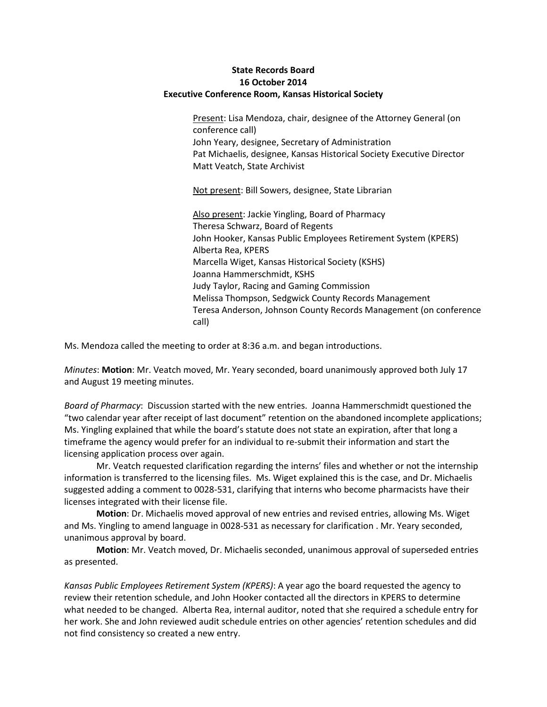## **State Records Board 16 October 2014 Executive Conference Room, Kansas Historical Society**

Present: Lisa Mendoza, chair, designee of the Attorney General (on conference call) John Yeary, designee, Secretary of Administration Pat Michaelis, designee, Kansas Historical Society Executive Director Matt Veatch, State Archivist

Not present: Bill Sowers, designee, State Librarian

Also present: Jackie Yingling, Board of Pharmacy Theresa Schwarz, Board of Regents John Hooker, Kansas Public Employees Retirement System (KPERS) Alberta Rea, KPERS Marcella Wiget, Kansas Historical Society (KSHS) Joanna Hammerschmidt, KSHS Judy Taylor, Racing and Gaming Commission Melissa Thompson, Sedgwick County Records Management Teresa Anderson, Johnson County Records Management (on conference call)

Ms. Mendoza called the meeting to order at 8:36 a.m. and began introductions.

*Minutes*: **Motion**: Mr. Veatch moved, Mr. Yeary seconded, board unanimously approved both July 17 and August 19 meeting minutes.

*Board of Pharmacy*: Discussion started with the new entries. Joanna Hammerschmidt questioned the "two calendar year after receipt of last document" retention on the abandoned incomplete applications; Ms. Yingling explained that while the board's statute does not state an expiration, after that long a timeframe the agency would prefer for an individual to re-submit their information and start the licensing application process over again.

Mr. Veatch requested clarification regarding the interns' files and whether or not the internship information is transferred to the licensing files. Ms. Wiget explained this is the case, and Dr. Michaelis suggested adding a comment to 0028-531, clarifying that interns who become pharmacists have their licenses integrated with their license file.

**Motion**: Dr. Michaelis moved approval of new entries and revised entries, allowing Ms. Wiget and Ms. Yingling to amend language in 0028-531 as necessary for clarification . Mr. Yeary seconded, unanimous approval by board.

**Motion**: Mr. Veatch moved, Dr. Michaelis seconded, unanimous approval of superseded entries as presented.

*Kansas Public Employees Retirement System (KPERS)*: A year ago the board requested the agency to review their retention schedule, and John Hooker contacted all the directors in KPERS to determine what needed to be changed. Alberta Rea, internal auditor, noted that she required a schedule entry for her work. She and John reviewed audit schedule entries on other agencies' retention schedules and did not find consistency so created a new entry.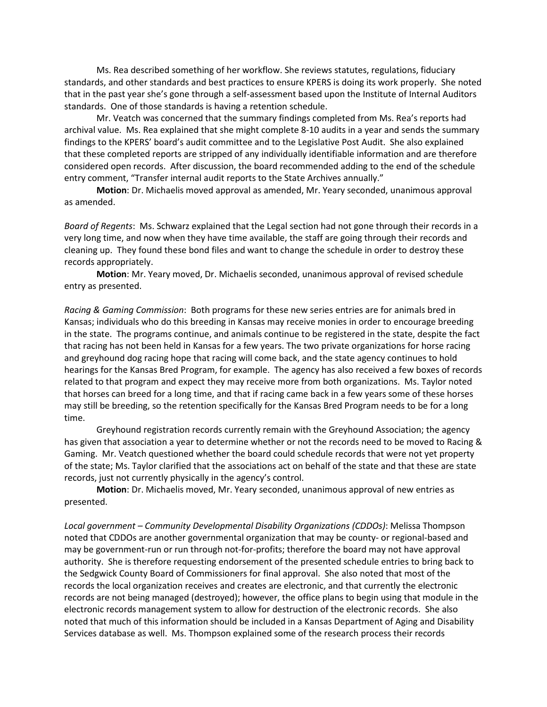Ms. Rea described something of her workflow. She reviews statutes, regulations, fiduciary standards, and other standards and best practices to ensure KPERS is doing its work properly. She noted that in the past year she's gone through a self-assessment based upon the Institute of Internal Auditors standards. One of those standards is having a retention schedule.

Mr. Veatch was concerned that the summary findings completed from Ms. Rea's reports had archival value. Ms. Rea explained that she might complete 8-10 audits in a year and sends the summary findings to the KPERS' board's audit committee and to the Legislative Post Audit. She also explained that these completed reports are stripped of any individually identifiable information and are therefore considered open records. After discussion, the board recommended adding to the end of the schedule entry comment, "Transfer internal audit reports to the State Archives annually."

**Motion**: Dr. Michaelis moved approval as amended, Mr. Yeary seconded, unanimous approval as amended.

*Board of Regents*: Ms. Schwarz explained that the Legal section had not gone through their records in a very long time, and now when they have time available, the staff are going through their records and cleaning up. They found these bond files and want to change the schedule in order to destroy these records appropriately.

**Motion**: Mr. Yeary moved, Dr. Michaelis seconded, unanimous approval of revised schedule entry as presented.

*Racing & Gaming Commission*: Both programs for these new series entries are for animals bred in Kansas; individuals who do this breeding in Kansas may receive monies in order to encourage breeding in the state. The programs continue, and animals continue to be registered in the state, despite the fact that racing has not been held in Kansas for a few years. The two private organizations for horse racing and greyhound dog racing hope that racing will come back, and the state agency continues to hold hearings for the Kansas Bred Program, for example. The agency has also received a few boxes of records related to that program and expect they may receive more from both organizations. Ms. Taylor noted that horses can breed for a long time, and that if racing came back in a few years some of these horses may still be breeding, so the retention specifically for the Kansas Bred Program needs to be for a long time.

Greyhound registration records currently remain with the Greyhound Association; the agency has given that association a year to determine whether or not the records need to be moved to Racing & Gaming. Mr. Veatch questioned whether the board could schedule records that were not yet property of the state; Ms. Taylor clarified that the associations act on behalf of the state and that these are state records, just not currently physically in the agency's control.

**Motion**: Dr. Michaelis moved, Mr. Yeary seconded, unanimous approval of new entries as presented.

*Local government – Community Developmental Disability Organizations (CDDOs)*: Melissa Thompson noted that CDDOs are another governmental organization that may be county- or regional-based and may be government-run or run through not-for-profits; therefore the board may not have approval authority. She is therefore requesting endorsement of the presented schedule entries to bring back to the Sedgwick County Board of Commissioners for final approval. She also noted that most of the records the local organization receives and creates are electronic, and that currently the electronic records are not being managed (destroyed); however, the office plans to begin using that module in the electronic records management system to allow for destruction of the electronic records. She also noted that much of this information should be included in a Kansas Department of Aging and Disability Services database as well. Ms. Thompson explained some of the research process their records